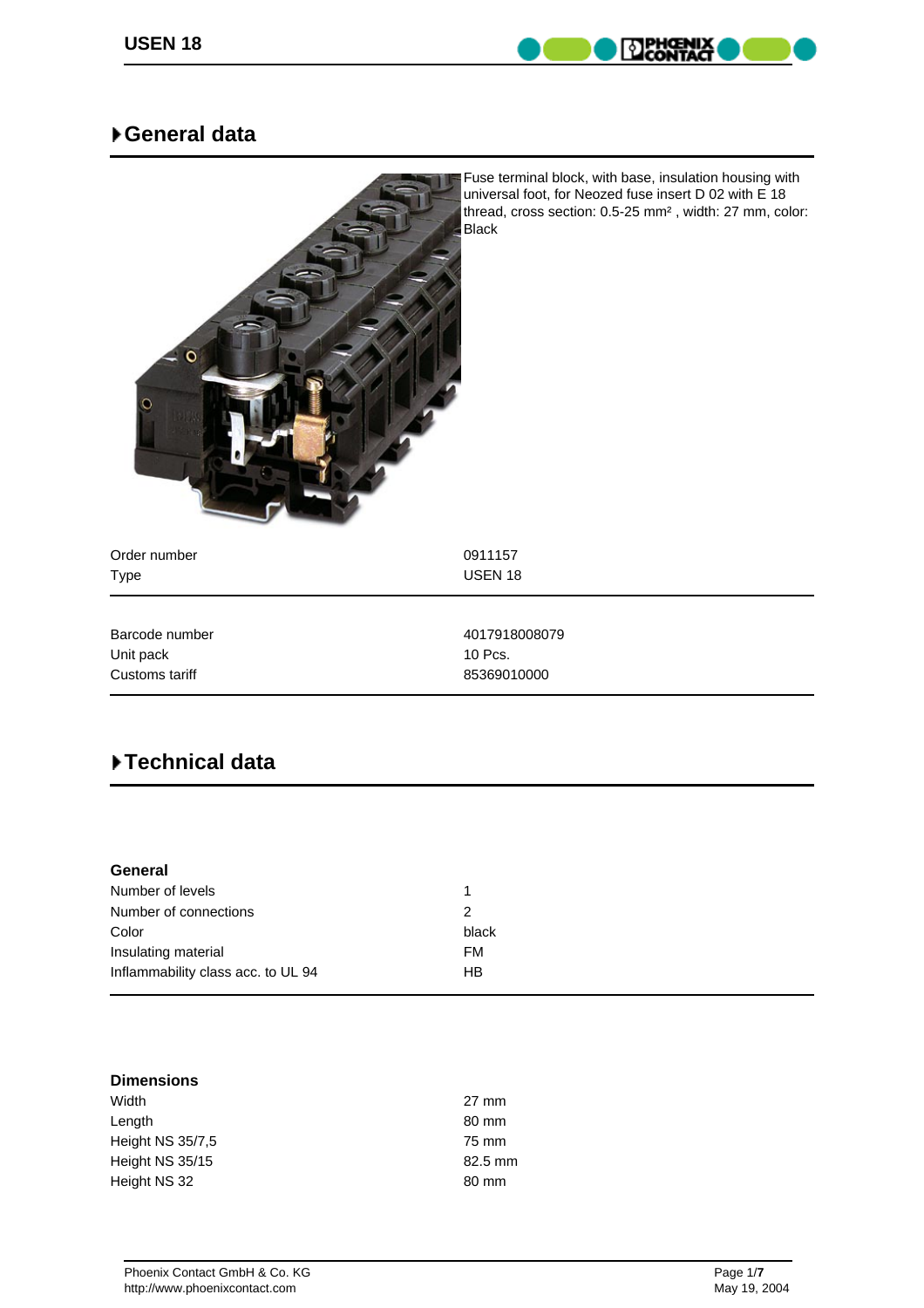

## **General data**



Fuse terminal block, with base, insulation housing with universal foot, for Neozed fuse insert D 02 with E 18 thread, cross section: 0.5-25 mm² , width: 27 mm, color:

| Order number<br><b>Type</b> | 0911157<br>USEN 18 |  |
|-----------------------------|--------------------|--|
|                             |                    |  |
| Barcode number              | 4017918008079      |  |
| Unit pack                   | 10 Pcs.            |  |
| Customs tariff              | 85369010000        |  |
|                             |                    |  |

# **Technical data**

| 2     |
|-------|
| black |
| FM    |
| НB    |
|       |

#### **Dimensions**

| Width            | 27 mm   |
|------------------|---------|
| Length           | 80 mm   |
| Height NS 35/7,5 | 75 mm   |
| Height NS 35/15  | 82.5 mm |
| Height NS 32     | 80 mm   |
|                  |         |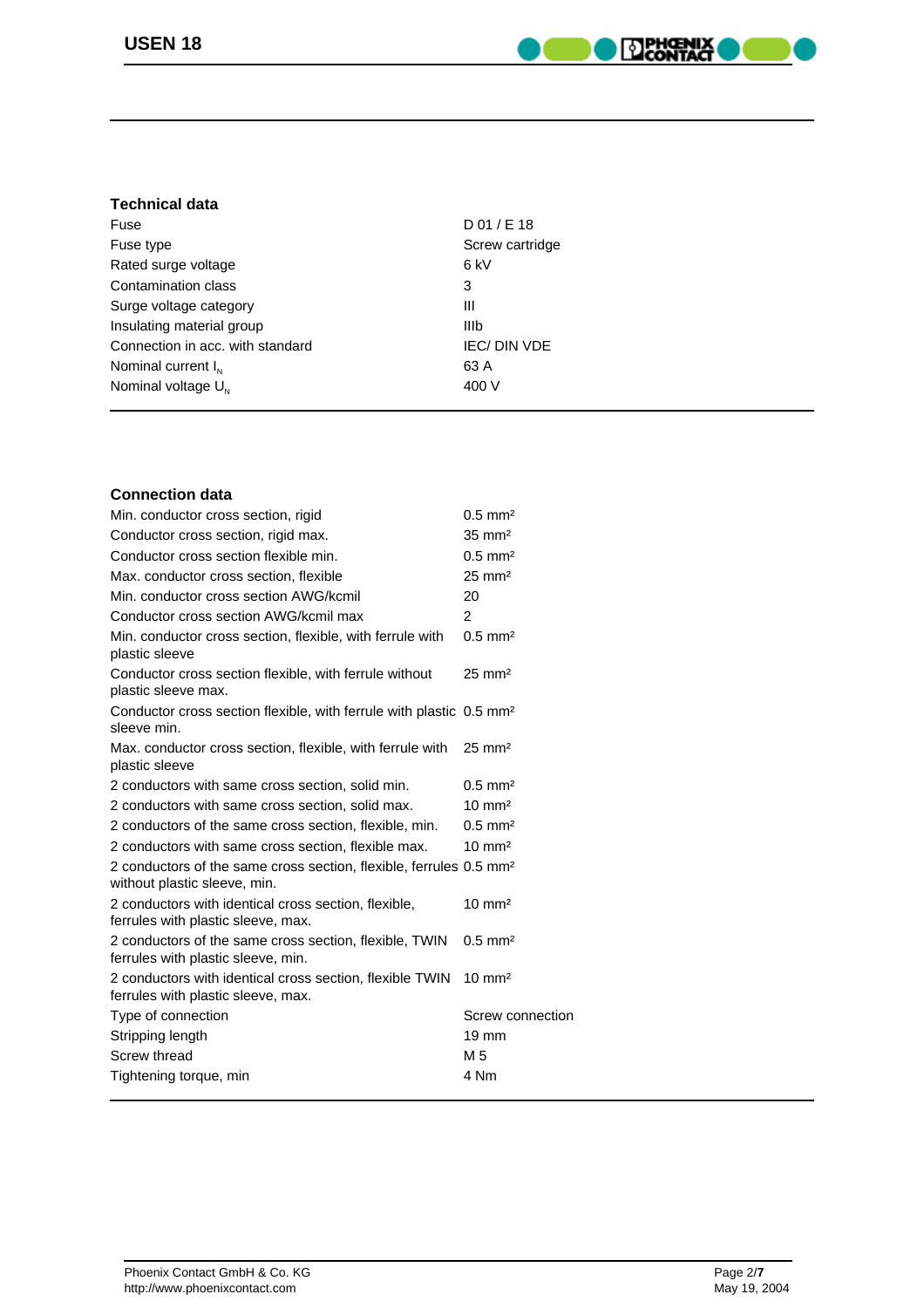

| <b>Technical data</b>            |                 |
|----------------------------------|-----------------|
| Fuse                             | $D$ 01 / E 18   |
| Fuse type                        | Screw cartridge |
| Rated surge voltage              | 6 kV            |
| Contamination class              | 3               |
| Surge voltage category           | Ш               |
| Insulating material group        | Illb            |
| Connection in acc. with standard | IEC/DIN VDE     |
| Nominal current $I_{N}$          | 63 A            |
| Nominal voltage $U_{N}$          | 400 V           |

#### **Connection data**

| Min. conductor cross section, rigid                                                                            | $0.5$ mm <sup>2</sup> |
|----------------------------------------------------------------------------------------------------------------|-----------------------|
| Conductor cross section, rigid max.                                                                            | $35 \text{ mm}^2$     |
| Conductor cross section flexible min.                                                                          | $0.5$ mm <sup>2</sup> |
| Max. conductor cross section, flexible                                                                         | $25 \text{ mm}^2$     |
| Min. conductor cross section AWG/kcmil                                                                         | 20                    |
| Conductor cross section AWG/kcmil max                                                                          | $\mathcal{P}$         |
| Min. conductor cross section, flexible, with ferrule with<br>plastic sleeve                                    | $0.5$ mm <sup>2</sup> |
| Conductor cross section flexible, with ferrule without<br>plastic sleeve max.                                  | $25 \text{ mm}^2$     |
| Conductor cross section flexible, with ferrule with plastic 0.5 mm <sup>2</sup><br>sleeve min.                 |                       |
| Max. conductor cross section, flexible, with ferrule with<br>plastic sleeve                                    | $25 \text{ mm}^2$     |
| 2 conductors with same cross section, solid min.                                                               | $0.5$ mm <sup>2</sup> |
| 2 conductors with same cross section, solid max.                                                               | $10 \text{ mm}^2$     |
| 2 conductors of the same cross section, flexible, min.                                                         | $0.5$ mm <sup>2</sup> |
| 2 conductors with same cross section, flexible max.                                                            | $10 \text{ mm}^2$     |
| 2 conductors of the same cross section, flexible, ferrules 0.5 mm <sup>2</sup><br>without plastic sleeve, min. |                       |
| 2 conductors with identical cross section, flexible,<br>ferrules with plastic sleeve, max.                     | $10 \text{ mm}^2$     |
| 2 conductors of the same cross section, flexible, TWIN<br>ferrules with plastic sleeve, min.                   | $0.5$ mm <sup>2</sup> |
| 2 conductors with identical cross section, flexible TWIN<br>ferrules with plastic sleeve, max.                 | $10 \text{ mm}^2$     |
| Type of connection                                                                                             | Screw connection      |
| Stripping length                                                                                               | $19 \text{ mm}$       |
| Screw thread                                                                                                   | M <sub>5</sub>        |
| Tightening torque, min                                                                                         | 4 Nm                  |
|                                                                                                                |                       |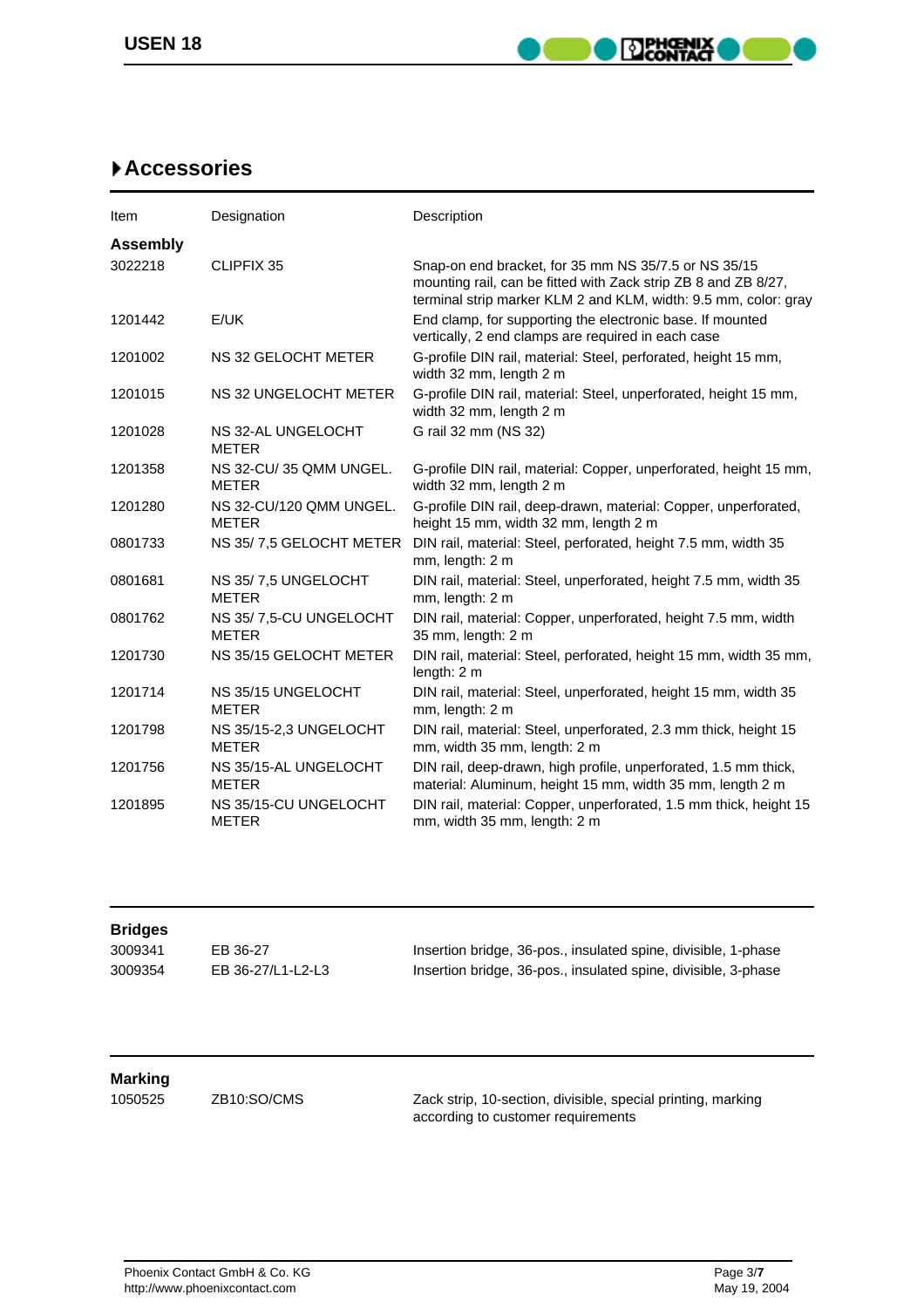

## **Accessories**

| Item            | Designation                             | Description                                                                                                                                                                               |
|-----------------|-----------------------------------------|-------------------------------------------------------------------------------------------------------------------------------------------------------------------------------------------|
| <b>Assembly</b> |                                         |                                                                                                                                                                                           |
| 3022218         | CLIPFIX 35                              | Snap-on end bracket, for 35 mm NS 35/7.5 or NS 35/15<br>mounting rail, can be fitted with Zack strip ZB 8 and ZB 8/27,<br>terminal strip marker KLM 2 and KLM, width: 9.5 mm, color: gray |
| 1201442         | E/UK                                    | End clamp, for supporting the electronic base. If mounted<br>vertically, 2 end clamps are required in each case                                                                           |
| 1201002         | NS 32 GELOCHT METER                     | G-profile DIN rail, material: Steel, perforated, height 15 mm,<br>width 32 mm, length 2 m                                                                                                 |
| 1201015         | NS 32 UNGELOCHT METER                   | G-profile DIN rail, material: Steel, unperforated, height 15 mm,<br>width 32 mm, length 2 m                                                                                               |
| 1201028         | NS 32-AL UNGELOCHT<br><b>METER</b>      | G rail 32 mm (NS 32)                                                                                                                                                                      |
| 1201358         | NS 32-CU/35 QMM UNGEL.<br><b>METER</b>  | G-profile DIN rail, material: Copper, unperforated, height 15 mm,<br>width 32 mm, length 2 m                                                                                              |
| 1201280         | NS 32-CU/120 QMM UNGEL.<br><b>METER</b> | G-profile DIN rail, deep-drawn, material: Copper, unperforated,<br>height 15 mm, width 32 mm, length 2 m                                                                                  |
| 0801733         | NS 35/7,5 GELOCHT METER                 | DIN rail, material: Steel, perforated, height 7.5 mm, width 35<br>mm, length: 2 m                                                                                                         |
| 0801681         | NS 35/7,5 UNGELOCHT<br><b>METER</b>     | DIN rail, material: Steel, unperforated, height 7.5 mm, width 35<br>mm, length: 2 m                                                                                                       |
| 0801762         | NS 35/7,5-CU UNGELOCHT<br><b>METER</b>  | DIN rail, material: Copper, unperforated, height 7.5 mm, width<br>35 mm, length: 2 m                                                                                                      |
| 1201730         | NS 35/15 GELOCHT METER                  | DIN rail, material: Steel, perforated, height 15 mm, width 35 mm,<br>length: $2m$                                                                                                         |
| 1201714         | NS 35/15 UNGELOCHT<br><b>METER</b>      | DIN rail, material: Steel, unperforated, height 15 mm, width 35<br>mm, length: 2 m                                                                                                        |
| 1201798         | NS 35/15-2,3 UNGELOCHT<br><b>METER</b>  | DIN rail, material: Steel, unperforated, 2.3 mm thick, height 15<br>mm, width 35 mm, length: 2 m                                                                                          |
| 1201756         | NS 35/15-AL UNGELOCHT<br><b>METER</b>   | DIN rail, deep-drawn, high profile, unperforated, 1.5 mm thick,<br>material: Aluminum, height 15 mm, width 35 mm, length 2 m                                                              |
| 1201895         | NS 35/15-CU UNGELOCHT<br>METER          | DIN rail, material: Copper, unperforated, 1.5 mm thick, height 15<br>mm, width 35 mm, length: 2 m                                                                                         |

| <b>Bridges</b> |                   |                                                                |
|----------------|-------------------|----------------------------------------------------------------|
| 3009341        | EB 36-27          | Insertion bridge, 36-pos., insulated spine, divisible, 1-phase |
| 3009354        | EB 36-27/L1-L2-L3 | Insertion bridge, 36-pos., insulated spine, divisible, 3-phase |

#### **Marking**

1050525 ZB10:SO/CMS Zack strip, 10-section, divisible, special printing, marking according to customer requirements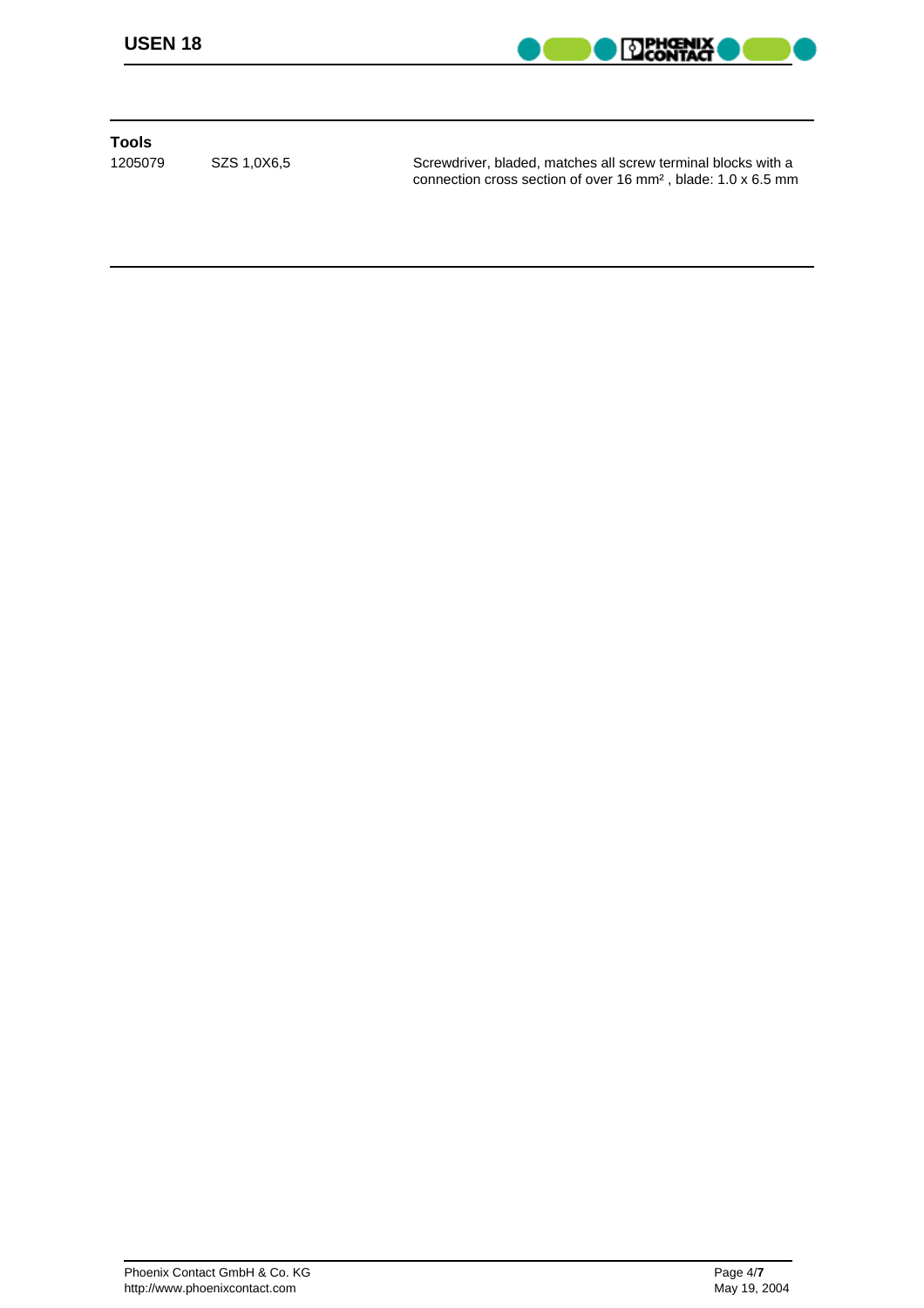

#### **Tools**

1205079 SZS 1,0X6,5 Screwdriver, bladed, matches all screw terminal blocks with a connection cross section of over 16 mm² , blade: 1.0 x 6.5 mm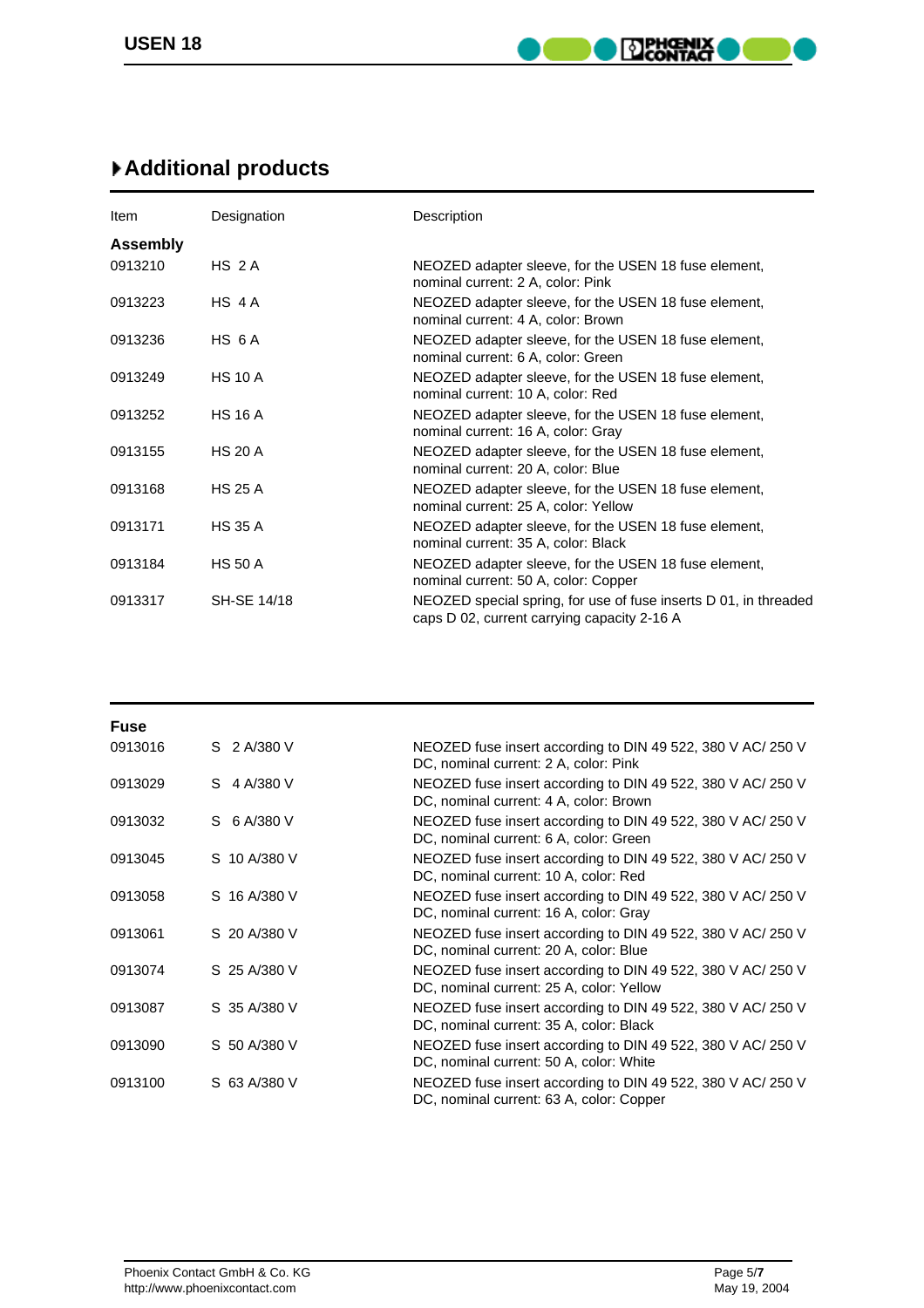

# **Additional products**

| Item            | Designation    | Description                                                                                                     |
|-----------------|----------------|-----------------------------------------------------------------------------------------------------------------|
| <b>Assembly</b> |                |                                                                                                                 |
| 0913210         | $HS$ 2 A       | NEOZED adapter sleeve, for the USEN 18 fuse element,<br>nominal current: 2 A, color: Pink                       |
| 0913223         | HS 4A          | NEOZED adapter sleeve, for the USEN 18 fuse element,<br>nominal current: 4 A, color: Brown                      |
| 0913236         | HS 6A          | NEOZED adapter sleeve, for the USEN 18 fuse element,<br>nominal current: 6 A, color: Green                      |
| 0913249         | <b>HS 10 A</b> | NEOZED adapter sleeve, for the USEN 18 fuse element,<br>nominal current: 10 A, color: Red                       |
| 0913252         | <b>HS 16 A</b> | NEOZED adapter sleeve, for the USEN 18 fuse element,<br>nominal current: 16 A, color: Gray                      |
| 0913155         | <b>HS 20 A</b> | NEOZED adapter sleeve, for the USEN 18 fuse element,<br>nominal current: 20 A, color: Blue                      |
| 0913168         | <b>HS 25 A</b> | NEOZED adapter sleeve, for the USEN 18 fuse element,<br>nominal current: 25 A, color: Yellow                    |
| 0913171         | <b>HS 35 A</b> | NEOZED adapter sleeve, for the USEN 18 fuse element,<br>nominal current: 35 A, color: Black                     |
| 0913184         | <b>HS 50 A</b> | NEOZED adapter sleeve, for the USEN 18 fuse element,<br>nominal current: 50 A, color: Copper                    |
| 0913317         | SH-SE 14/18    | NEOZED special spring, for use of fuse inserts D 01, in threaded<br>caps D 02, current carrying capacity 2-16 A |

| <b>Fuse</b> |                 |                                                                                                         |
|-------------|-----------------|---------------------------------------------------------------------------------------------------------|
| 0913016     | S 2 A/380 V     | NEOZED fuse insert according to DIN 49 522, 380 V AC/ 250 V<br>DC, nominal current: 2 A, color: Pink    |
| 0913029     | 4 A/380 V<br>S. | NEOZED fuse insert according to DIN 49 522, 380 V AC/ 250 V<br>DC, nominal current: 4 A, color: Brown   |
| 0913032     | 6 A/380 V<br>S. | NEOZED fuse insert according to DIN 49 522, 380 V AC/ 250 V<br>DC, nominal current: 6 A, color: Green   |
| 0913045     | S 10 A/380 V    | NEOZED fuse insert according to DIN 49 522, 380 V AC/ 250 V<br>DC, nominal current: 10 A, color: Red    |
| 0913058     | S 16 A/380 V    | NEOZED fuse insert according to DIN 49 522, 380 V AC/ 250 V<br>DC, nominal current: 16 A, color: Gray   |
| 0913061     | S 20 A/380 V    | NEOZED fuse insert according to DIN 49 522, 380 V AC/ 250 V<br>DC, nominal current: 20 A, color: Blue   |
| 0913074     | S 25 A/380 V    | NEOZED fuse insert according to DIN 49 522, 380 V AC/ 250 V<br>DC, nominal current: 25 A, color: Yellow |
| 0913087     | S 35 A/380 V    | NEOZED fuse insert according to DIN 49 522, 380 V AC/ 250 V<br>DC, nominal current: 35 A, color: Black  |
| 0913090     | S 50 A/380 V    | NEOZED fuse insert according to DIN 49 522, 380 V AC/ 250 V<br>DC, nominal current: 50 A, color: White  |
| 0913100     | S 63 A/380 V    | NEOZED fuse insert according to DIN 49 522, 380 V AC/ 250 V<br>DC, nominal current: 63 A, color: Copper |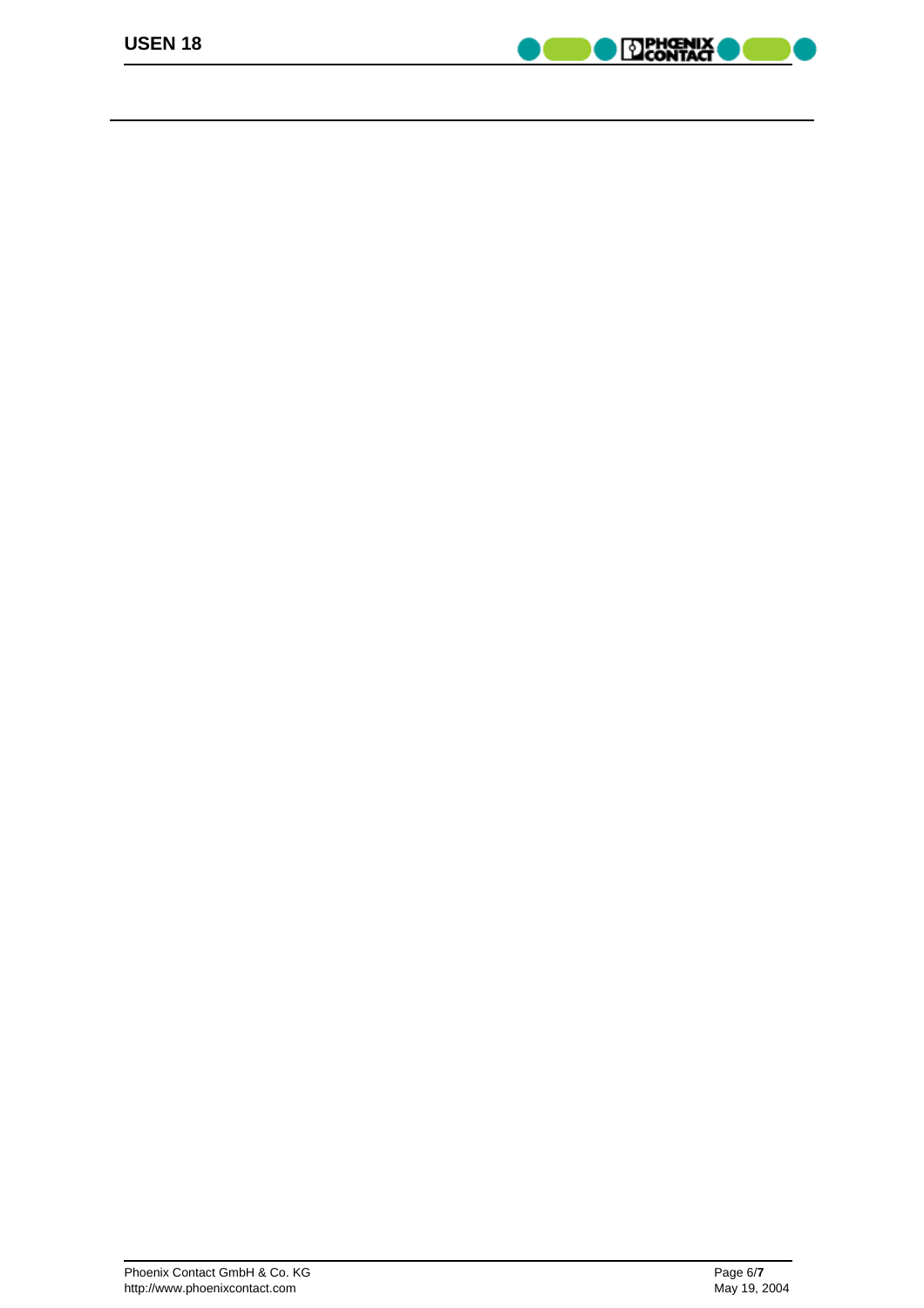